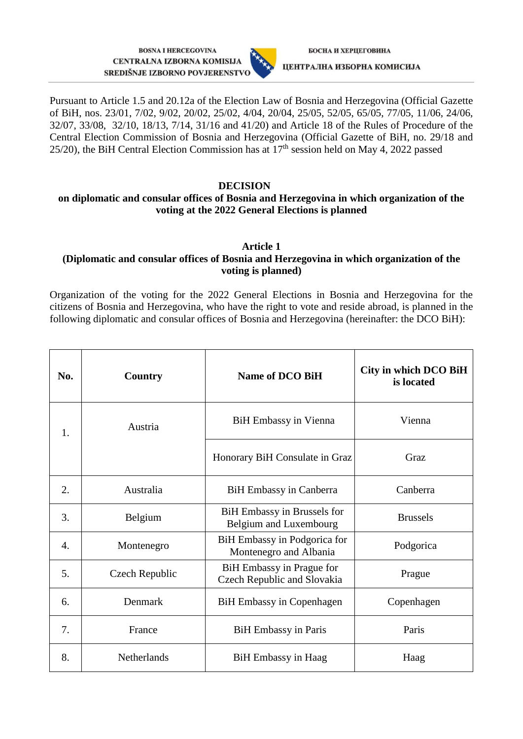**BOSNA I HERCEGOVINA** CENTRALNA IZBORNA KOMISIJA SREDIŠNJE IZBORNO POVJERENSTVO



Pursuant to Article 1.5 and 20.12a of the Election Law of Bosnia and Herzegovina (Official Gazette of BiH, nos. 23/01, 7/02, 9/02, 20/02, 25/02, 4/04, 20/04, 25/05, 52/05, 65/05, 77/05, 11/06, 24/06, 32/07, 33/08, 32/10, 18/13, 7/14, 31/16 and 41/20) and Article 18 of the Rules of Procedure of the Central Election Commission of Bosnia and Herzegovina (Official Gazette of BiH, no. 29/18 and 25/20), the BiH Central Election Commission has at  $17<sup>th</sup>$  session held on May 4, 2022 passed

# **DECISION**

# **on diplomatic and consular offices of Bosnia and Herzegovina in which organization of the voting at the 2022 General Elections is planned**

#### **Article 1 (Diplomatic and consular offices of Bosnia and Herzegovina in which organization of the voting is planned)**

Organization of the voting for the 2022 General Elections in Bosnia and Herzegovina for the citizens of Bosnia and Herzegovina, who have the right to vote and reside abroad, is planned in the following diplomatic and consular offices of Bosnia and Herzegovina (hereinafter: the DCO BiH):

| No. | <b>Country</b> | Name of DCO BiH                                          | City in which DCO BiH<br>is located |
|-----|----------------|----------------------------------------------------------|-------------------------------------|
| 1.  | Austria        | <b>BiH Embassy in Vienna</b>                             | Vienna                              |
|     |                | Honorary BiH Consulate in Graz                           | Graz                                |
| 2.  | Australia      | <b>BiH Embassy in Canberra</b>                           | Canberra                            |
| 3.  | Belgium        | BiH Embassy in Brussels for<br>Belgium and Luxembourg    | <b>Brussels</b>                     |
| 4.  | Montenegro     | BiH Embassy in Podgorica for<br>Montenegro and Albania   | Podgorica                           |
| 5.  | Czech Republic | BiH Embassy in Prague for<br>Czech Republic and Slovakia | Prague                              |
| 6.  | Denmark        | <b>BiH Embassy in Copenhagen</b>                         | Copenhagen                          |
| 7.  | France         | <b>BiH</b> Embassy in Paris                              | Paris                               |
| 8.  | Netherlands    | <b>BiH</b> Embassy in Haag                               | Haag                                |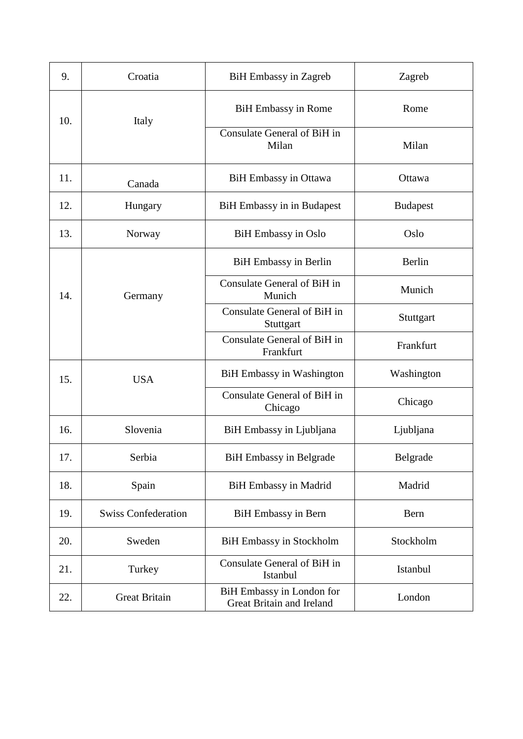| 9.  | Croatia                    | <b>BiH Embassy in Zagreb</b>                           | Zagreb          |
|-----|----------------------------|--------------------------------------------------------|-----------------|
| 10. | Italy                      | <b>BiH Embassy in Rome</b>                             | Rome            |
|     |                            | Consulate General of BiH in<br>Milan                   | Milan           |
| 11. | Canada                     | <b>BiH</b> Embassy in Ottawa                           | Ottawa          |
| 12. | Hungary                    | BiH Embassy in in Budapest                             | <b>Budapest</b> |
| 13. | Norway                     | <b>BiH Embassy in Oslo</b>                             | Oslo            |
| 14. | Germany                    | <b>BiH</b> Embassy in Berlin                           | Berlin          |
|     |                            | Consulate General of BiH in<br>Munich                  | Munich          |
|     |                            | Consulate General of BiH in<br>Stuttgart               | Stuttgart       |
|     |                            | Consulate General of BiH in<br>Frankfurt               | Frankfurt       |
| 15. | <b>USA</b>                 | <b>BiH Embassy in Washington</b>                       | Washington      |
|     |                            | Consulate General of BiH in<br>Chicago                 | Chicago         |
| 16. | Slovenia                   | BiH Embassy in Ljubljana                               | Ljubljana       |
| 17. | Serbia                     | <b>BiH Embassy in Belgrade</b>                         | Belgrade        |
| 18. | Spain                      | BiH Embassy in Madrid                                  | Madrid          |
| 19. | <b>Swiss Confederation</b> | <b>BiH</b> Embassy in Bern                             | Bern            |
| 20. | Sweden                     | <b>BiH Embassy in Stockholm</b>                        | Stockholm       |
| 21. | Turkey                     | Consulate General of BiH in<br>Istanbul                | Istanbul        |
| 22. | <b>Great Britain</b>       | BiH Embassy in London for<br>Great Britain and Ireland | London          |